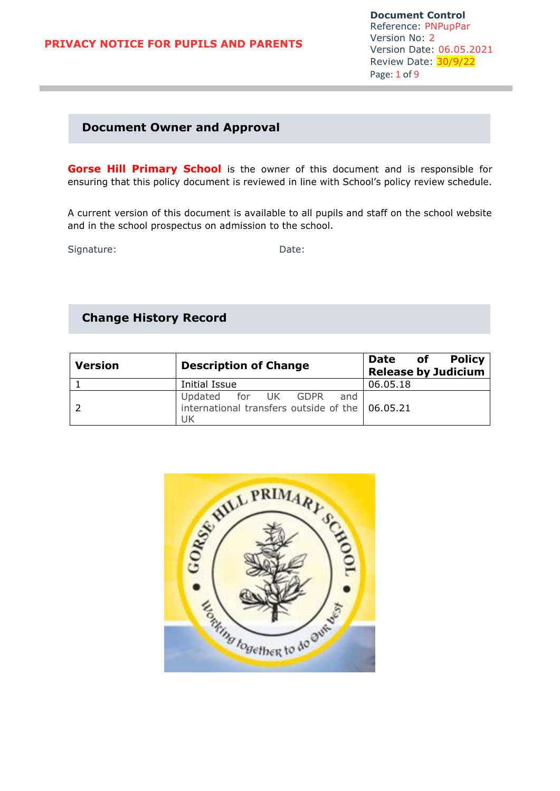# **Document Owner and Approval**

**Gorse Hill Primary School** is the owner of this document and is responsible for ensuring that this policy document is reviewed in line with School's policy review schedule.

A current version of this document is available to all pupils and staff on the school website and in the school prospectus on admission to the school.

Signature: Date:

# **Change History Record**

| <b>Version</b> | <b>Description of Change</b>                                                        | <b>Policy</b><br>of <b>o</b><br><b>Date</b><br><b>Release by Judicium</b> |
|----------------|-------------------------------------------------------------------------------------|---------------------------------------------------------------------------|
|                | Initial Issue                                                                       | 06.05.18                                                                  |
|                | Updated for UK GDPR<br>and<br>international transfers outside of the 06.05.21<br>UK |                                                                           |

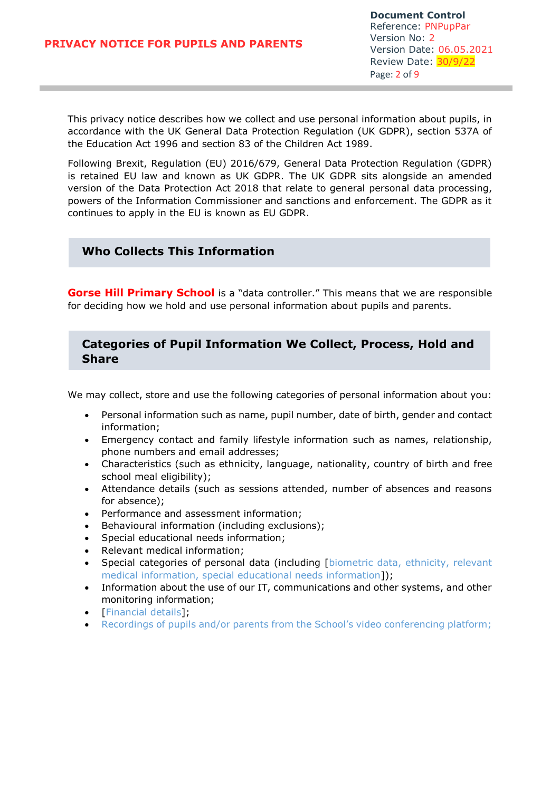This privacy notice describes how we collect and use personal information about pupils, in accordance with the UK General Data Protection Regulation (UK GDPR), section 537A of the Education Act 1996 and section 83 of the Children Act 1989.

Following Brexit, Regulation (EU) 2016/679, General Data Protection Regulation (GDPR) is retained EU law and known as UK GDPR. The UK GDPR sits alongside an amended version of the Data Protection Act 2018 that relate to general personal data processing, powers of the Information Commissioner and sanctions and enforcement. The GDPR as it continues to apply in the EU is known as EU GDPR.

# **Who Collects This Information**

**Gorse Hill Primary School** is a "data controller." This means that we are responsible for deciding how we hold and use personal information about pupils and parents.

# **Categories of Pupil Information We Collect, Process, Hold and Share**

We may collect, store and use the following categories of personal information about you:

- Personal information such as name, pupil number, date of birth, gender and contact information;
- Emergency contact and family lifestyle information such as names, relationship, phone numbers and email addresses;
- Characteristics (such as ethnicity, language, nationality, country of birth and free school meal eligibility);
- Attendance details (such as sessions attended, number of absences and reasons for absence);
- Performance and assessment information;
- Behavioural information (including exclusions);
- Special educational needs information;
- Relevant medical information;
- Special categories of personal data (including [biometric data, ethnicity, relevant medical information, special educational needs information]);
- Information about the use of our IT, communications and other systems, and other monitoring information;
- [Financial details];
- Recordings of pupils and/or parents from the School's video conferencing platform;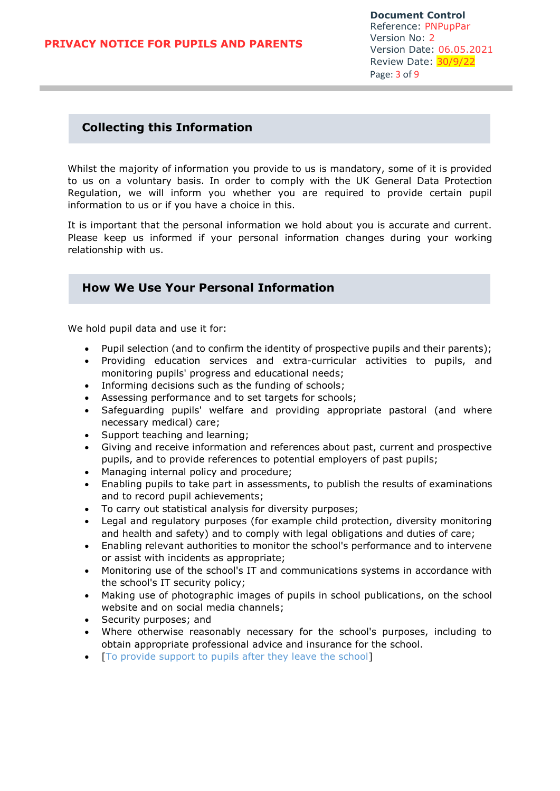## **Collecting this Information**

Whilst the majority of information you provide to us is mandatory, some of it is provided to us on a voluntary basis. In order to comply with the UK General Data Protection Regulation, we will inform you whether you are required to provide certain pupil information to us or if you have a choice in this.

It is important that the personal information we hold about you is accurate and current. Please keep us informed if your personal information changes during your working relationship with us.

# **How We Use Your Personal Information**

We hold pupil data and use it for:

- Pupil selection (and to confirm the identity of prospective pupils and their parents);
- Providing education services and extra-curricular activities to pupils, and monitoring pupils' progress and educational needs;
- Informing decisions such as the funding of schools;
- Assessing performance and to set targets for schools;
- Safeguarding pupils' welfare and providing appropriate pastoral (and where necessary medical) care;
- Support teaching and learning;
- Giving and receive information and references about past, current and prospective pupils, and to provide references to potential employers of past pupils;
- Managing internal policy and procedure;
- Enabling pupils to take part in assessments, to publish the results of examinations and to record pupil achievements;
- To carry out statistical analysis for diversity purposes;
- Legal and regulatory purposes (for example child protection, diversity monitoring and health and safety) and to comply with legal obligations and duties of care;
- Enabling relevant authorities to monitor the school's performance and to intervene or assist with incidents as appropriate;
- Monitoring use of the school's IT and communications systems in accordance with the school's IT security policy;
- Making use of photographic images of pupils in school publications, on the school website and on social media channels;
- Security purposes; and
- Where otherwise reasonably necessary for the school's purposes, including to obtain appropriate professional advice and insurance for the school.
- [To provide support to pupils after they leave the school]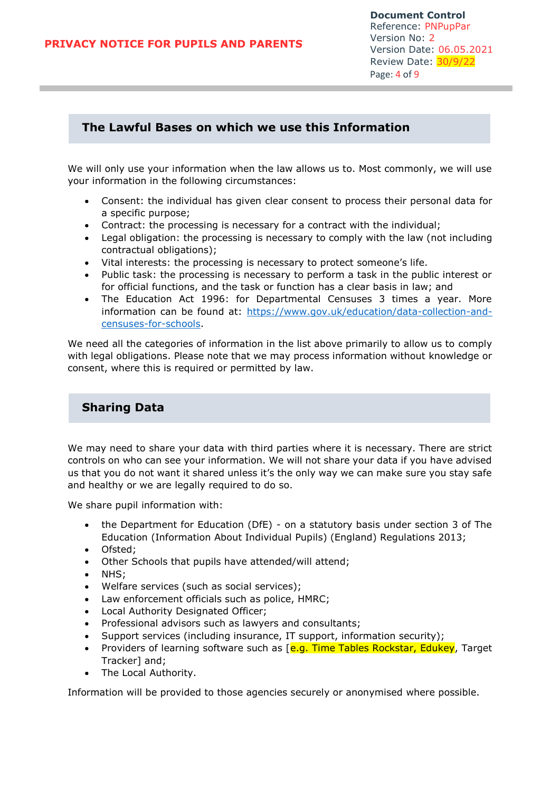## **The Lawful Bases on which we use this Information**

We will only use your information when the law allows us to. Most commonly, we will use your information in the following circumstances:

- Consent: the individual has given clear consent to process their personal data for a specific purpose;
- Contract: the processing is necessary for a contract with the individual;
- Legal obligation: the processing is necessary to comply with the law (not including contractual obligations);
- Vital interests: the processing is necessary to protect someone's life.
- Public task: the processing is necessary to perform a task in the public interest or for official functions, and the task or function has a clear basis in law; and
- The Education Act 1996: for Departmental Censuses 3 times a year. More information can be found at: [https://www.gov.uk/education/data-collection-and](https://www.gov.uk/education/data-collection-and-censuses-for-schools)[censuses-for-schools.](https://www.gov.uk/education/data-collection-and-censuses-for-schools)

We need all the categories of information in the list above primarily to allow us to comply with legal obligations. Please note that we may process information without knowledge or consent, where this is required or permitted by law.

# **Sharing Data**

We may need to share your data with third parties where it is necessary. There are strict controls on who can see your information. We will not share your data if you have advised us that you do not want it shared unless it's the only way we can make sure you stay safe and healthy or we are legally required to do so.

We share pupil information with:

- the Department for Education (DfE) on a statutory basis under section 3 of The Education (Information About Individual Pupils) (England) Regulations 2013;
- Ofsted:
- Other Schools that pupils have attended/will attend;
- NHS;
- Welfare services (such as social services);
- Law enforcement officials such as police, HMRC;
- Local Authority Designated Officer;
- Professional advisors such as lawyers and consultants;
- Support services (including insurance, IT support, information security);
- Providers of learning software such as [e.g. Time Tables Rockstar, Edukey, Target Tracker] and;
- The Local Authority.

Information will be provided to those agencies securely or anonymised where possible.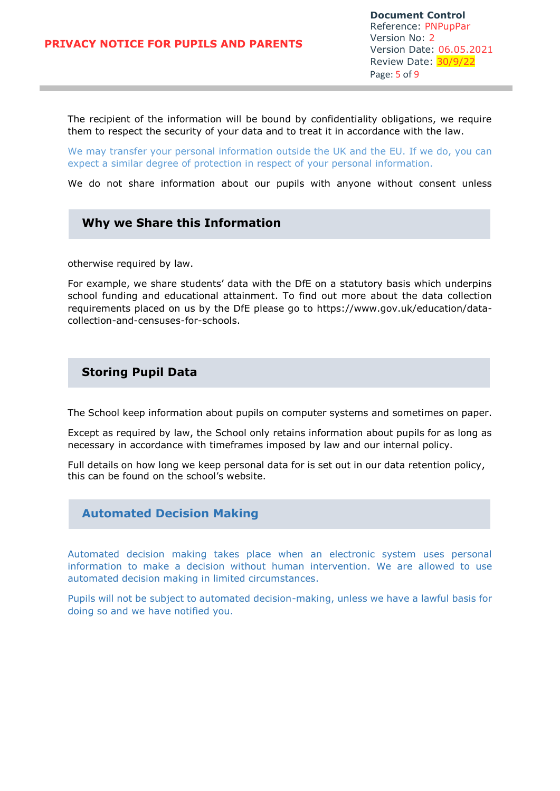**Document Control** Reference: PNPupPar Version No: 2 Version Date: 06.05.2021 Review Date: 30/9/22 Page: 5 of 9

The recipient of the information will be bound by confidentiality obligations, we require them to respect the security of your data and to treat it in accordance with the law.

We may transfer your personal information outside the UK and the EU. If we do, you can expect a similar degree of protection in respect of your personal information.

We do not share information about our pupils with anyone without consent unless

#### **Why we Share this Information**

otherwise required by law.

For example, we share students' data with the DfE on a statutory basis which underpins school funding and educational attainment. To find out more about the data collection requirements placed on us by the DfE please go to https://www.gov.uk/education/datacollection-and-censuses-for-schools.

#### **Storing Pupil Data**

The School keep information about pupils on computer systems and sometimes on paper.

Except as required by law, the School only retains information about pupils for as long as necessary in accordance with timeframes imposed by law and our internal policy.

Full details on how long we keep personal data for is set out in our data retention policy, this can be found on the school's website.

#### **Automated Decision Making**

Automated decision making takes place when an electronic system uses personal information to make a decision without human intervention. We are allowed to use automated decision making in limited circumstances.

Pupils will not be subject to automated decision-making, unless we have a lawful basis for doing so and we have notified you.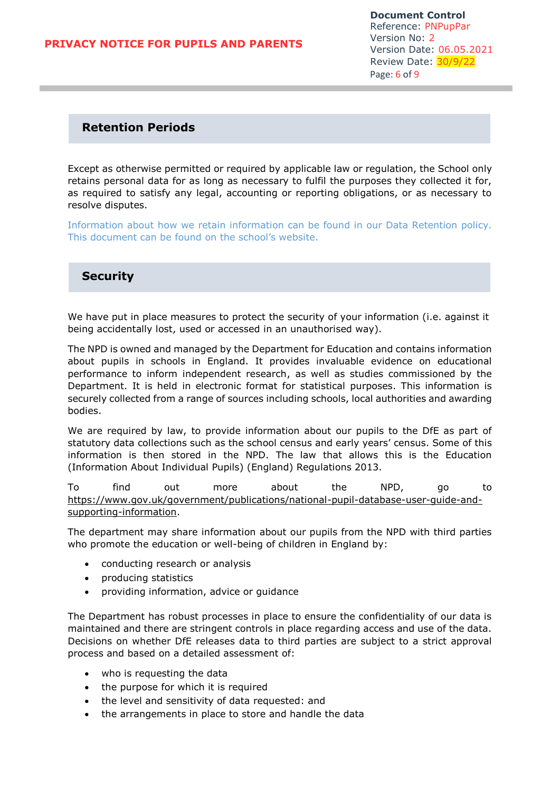**Document Control** Reference: PNPupPar Version No: 2 Version Date: 06.05.2021 Review Date: 30/9/22 Page: 6 of 9

### **Retention Periods**

Except as otherwise permitted or required by applicable law or regulation, the School only retains personal data for as long as necessary to fulfil the purposes they collected it for, as required to satisfy any legal, accounting or reporting obligations, or as necessary to resolve disputes.

Information about how we retain information can be found in our Data Retention policy. This document can be found on the school's website.

### **Security**

We have put in place measures to protect the security of your information (i.e. against it being accidentally lost, used or accessed in an unauthorised way).

The NPD is owned and managed by the Department for Education and contains information about pupils in schools in England. It provides invaluable evidence on educational performance to inform independent research, as well as studies commissioned by the Department. It is held in electronic format for statistical purposes. This information is securely collected from a range of sources including schools, local authorities and awarding bodies.

We are required by law, to provide information about our pupils to the DfE as part of statutory data collections such as the school census and early years' census. Some of this information is then stored in the NPD. The law that allows this is the Education (Information About Individual Pupils) (England) Regulations 2013.

To find out more about the NPD, go to [https://www.gov.uk/government/publications/national-pupil-database-user-guide-and](https://www.gov.uk/government/publications/national-pupil-database-user-guide-and-supporting-information)[supporting-information.](https://www.gov.uk/government/publications/national-pupil-database-user-guide-and-supporting-information)

The department may share information about our pupils from the NPD with third parties who promote the education or well-being of children in England by:

- conducting research or analysis
- producing statistics
- providing information, advice or guidance

The Department has robust processes in place to ensure the confidentiality of our data is maintained and there are stringent controls in place regarding access and use of the data. Decisions on whether DfE releases data to third parties are subject to a strict approval process and based on a detailed assessment of:

- who is requesting the data
- the purpose for which it is required
- the level and sensitivity of data requested: and
- the arrangements in place to store and handle the data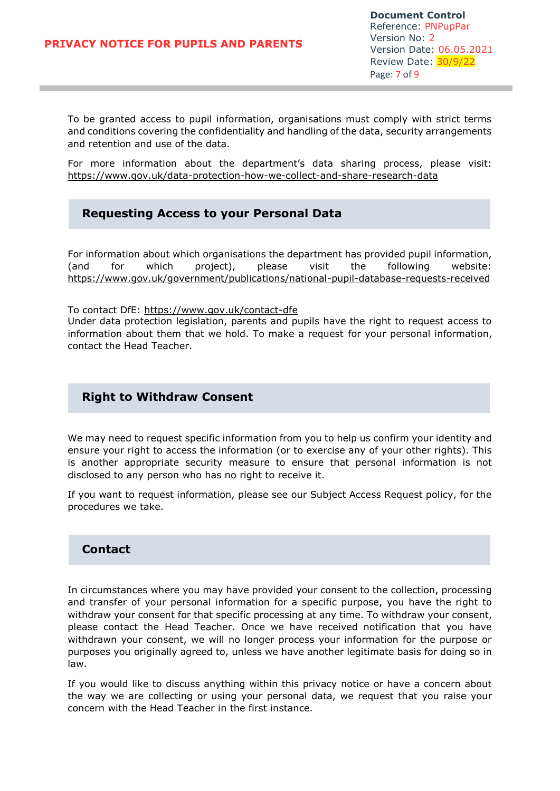**Document Control** Reference: PNPupPar Version No: 2 Version Date: 06.05.2021 Review Date: 30/9/22 Page: 7 of 9

To be granted access to pupil information, organisations must comply with strict terms and conditions covering the confidentiality and handling of the data, security arrangements and retention and use of the data.

For more information about the department's data sharing process, please visit: <https://www.gov.uk/data-protection-how-we-collect-and-share-research-data>

## **Requesting Access to your Personal Data**

For information about which organisations the department has provided pupil information, (and for which project), please visit the following website: <https://www.gov.uk/government/publications/national-pupil-database-requests-received>

To contact DfE:<https://www.gov.uk/contact-dfe> Under data protection legislation, parents and pupils have the right to request access to information about them that we hold. To make a request for your personal information, contact the Head Teacher.

### **Right to Withdraw Consent**

We may need to request specific information from you to help us confirm your identity and ensure your right to access the information (or to exercise any of your other rights). This is another appropriate security measure to ensure that personal information is not disclosed to any person who has no right to receive it.

If you want to request information, please see our Subject Access Request policy, for the procedures we take.

### **Contact**

In circumstances where you may have provided your consent to the collection, processing and transfer of your personal information for a specific purpose, you have the right to withdraw your consent for that specific processing at any time. To withdraw your consent, please contact the Head Teacher. Once we have received notification that you have withdrawn your consent, we will no longer process your information for the purpose or purposes you originally agreed to, unless we have another legitimate basis for doing so in law.

If you would like to discuss anything within this privacy notice or have a concern about the way we are collecting or using your personal data, we request that you raise your concern with the Head Teacher in the first instance.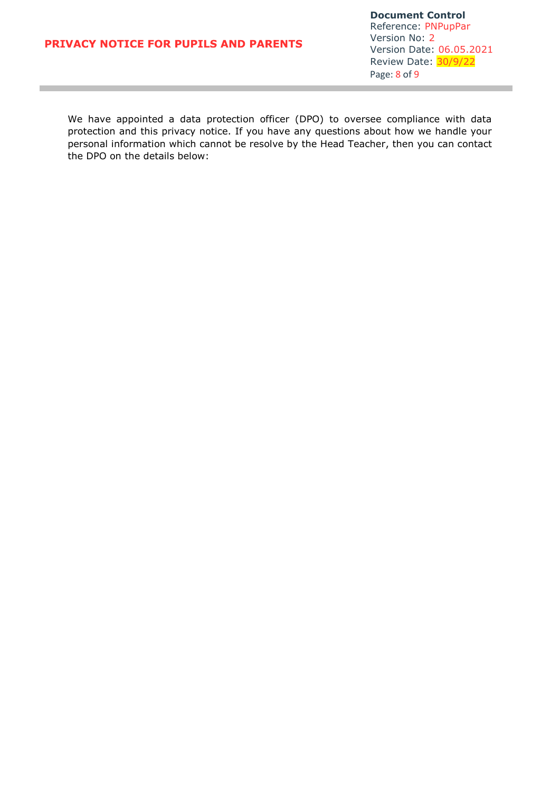**Document Control** Reference: PNPupPar Version No: 2 Version Date: 06.05.2021 Review Date: 30/9/22 Page: 8 of 9

We have appointed a data protection officer (DPO) to oversee compliance with data protection and this privacy notice. If you have any questions about how we handle your personal information which cannot be resolve by the Head Teacher, then you can contact the DPO on the details below: